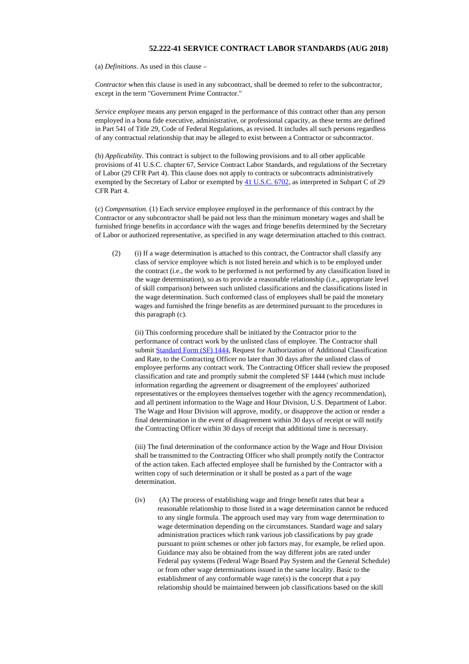## **52.222-41 SERVICE CONTRACT LABOR STANDARDS (AUG 2018)**

(a) *Definitions*. As used in this clause –

*Contractor* when this clause is used in any subcontract, shall be deemed to refer to the subcontractor, except in the term "Government Prime Contractor."

*Service employee* means any person engaged in the performance of this contract other than any person employed in a bona fide executive, administrative, or professional capacity, as these terms are defined in Part 541 of Title 29, Code of Federal Regulations, as revised. It includes all such persons regardless of any contractual relationship that may be alleged to exist between a Contractor or subcontractor.

(b) *Applicability*. This contract is subject to the following provisions and to all other applicable provisions of 41 U.S.C. chapter 67, Service Contract Labor Standards, and regulations of the Secretary of Labor (29 CFR Part 4). This clause does not apply to contracts or subcontracts administratively exempted by the Secretary of Labor or exempted by  $41$  [U.S.C.](http://uscode.house.gov/) 6702, as interpreted in Subpart C of 29 CFR Part 4.

(c) *Compensation.* (1) Each service employee employed in the performance of this contract by the Contractor or any subcontractor shall be paid not less than the minimum monetary wages and shall be furnished fringe benefits in accordance with the wages and fringe benefits determined by the Secretary of Labor or authorized representative, as specified in any wage determination attached to this contract.

(2) (i) If a wage determination is attached to this contract, the Contractor shall classify any class of service employee which is not listed herein and which is to be employed under the contract (i.e., the work to be performed is not performed by any classification listed in the wage determination), so as to provide a reasonable relationship (i.e., appropriate level of skill comparison) between such unlisted classifications and the classifications listed in the wage determination. Such conformed class of employees shall be paid the monetary wages and furnished the fringe benefits as are determined pursuant to the procedures in this paragraph (c).

(ii) This conforming procedure shall be initiated by the Contractor prior to the performance of contract work by the unlisted class of employee. The Contractor shall submit [Standard](https://acquisition.gov/far/current/html/FormsStandard64.html#wp1177073) Form (SF) 1444, Request for Authorization of Additional Classification and Rate, to the Contracting Officer no later than 30 days after the unlisted class of employee performs any contract work. The Contracting Officer shall review the proposed classification and rate and promptly submit the completed SF 1444 (which must include information regarding the agreement or disagreement of the employees' authorized representatives or the employees themselves together with the agency recommendation), and all pertinent information to the Wage and Hour Division, U.S. Department of Labor. The Wage and Hour Division will approve, modify, or disapprove the action or render a final determination in the event of disagreement within 30 days of receipt or will notify the Contracting Officer within 30 days of receipt that additional time is necessary.

(iii) The final determination of the conformance action by the Wage and Hour Division shall be transmitted to the Contracting Officer who shall promptly notify the Contractor of the action taken. Each affected employee shall be furnished by the Contractor with a written copy of such determination or it shall be posted as a part of the wage determination.

(iv) (A) The process of establishing wage and fringe benefit rates that bear a reasonable relationship to those listed in a wage determination cannot be reduced to any single formula. The approach used may vary from wage determination to wage determination depending on the circumstances. Standard wage and salary administration practices which rank various job classifications by pay grade pursuant to point schemes or other job factors may, for example, be relied upon. Guidance may also be obtained from the way different jobs are rated under Federal pay systems (Federal Wage Board Pay System and the General Schedule) or from other wage determinations issued in the same locality. Basic to the establishment of any conformable wage rate(s) is the concept that a pay relationship should be maintained between job classifications based on the skill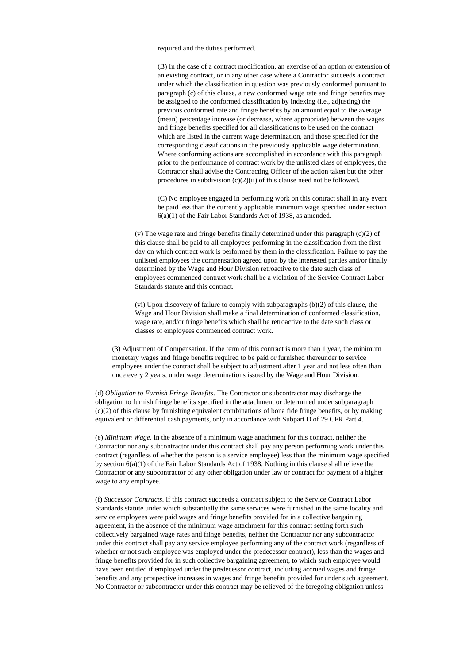required and the duties performed.

(B) In the case of a contract modification, an exercise of an option or extension of an existing contract, or in any other case where a Contractor succeeds a contract under which the classification in question was previously conformed pursuant to paragraph (c) of this clause, a new conformed wage rate and fringe benefits may be assigned to the conformed classification by indexing (i.e., adjusting) the previous conformed rate and fringe benefits by an amount equal to the average (mean) percentage increase (or decrease, where appropriate) between the wages and fringe benefits specified for all classifications to be used on the contract which are listed in the current wage determination, and those specified for the corresponding classifications in the previously applicable wage determination. Where conforming actions are accomplished in accordance with this paragraph prior to the performance of contract work by the unlisted class of employees, the Contractor shall advise the Contracting Officer of the action taken but the other procedures in subdivision (c)(2)(ii) of this clause need not be followed.

(C) No employee engaged in performing work on this contract shall in any event be paid less than the currently applicable minimum wage specified under section 6(a)(1) of the Fair Labor Standards Act of 1938, as amended.

(v) The wage rate and fringe benefits finally determined under this paragraph (c)(2) of this clause shall be paid to all employees performing in the classification from the first day on which contract work is performed by them in the classification. Failure to pay the unlisted employees the compensation agreed upon by the interested parties and/or finally determined by the Wage and Hour Division retroactive to the date such class of employees commenced contract work shall be a violation of the Service Contract Labor Standards statute and this contract.

(vi) Upon discovery of failure to comply with subparagraphs (b)(2) of this clause, the Wage and Hour Division shall make a final determination of conformed classification, wage rate, and/or fringe benefits which shall be retroactive to the date such class or classes of employees commenced contract work.

(3) Adjustment of Compensation. If the term of this contract is more than 1 year, the minimum monetary wages and fringe benefits required to be paid or furnished thereunder to service employees under the contract shall be subject to adjustment after 1 year and not less often than once every 2 years, under wage determinations issued by the Wage and Hour Division.

(d) *Obligation to Furnish Fringe Benefits*. The Contractor or subcontractor may discharge the obligation to furnish fringe benefits specified in the attachment or determined under subparagraph  $(c)(2)$  of this clause by furnishing equivalent combinations of bona fide fringe benefits, or by making equivalent or differential cash payments, only in accordance with Subpart D of 29 CFR Part 4.

(e) *Minimum Wage*. In the absence of a minimum wage attachment for this contract, neither the Contractor nor any subcontractor under this contract shall pay any person performing work under this contract (regardless of whether the person is a service employee) less than the minimum wage specified by section 6(a)(1) of the Fair Labor Standards Act of 1938. Nothing in this clause shall relieve the Contractor or any subcontractor of any other obligation under law or contract for payment of a higher wage to any employee.

(f) *Successor Contracts*. If this contract succeeds a contract subject to the Service Contract Labor Standards statute under which substantially the same services were furnished in the same locality and service employees were paid wages and fringe benefits provided for in a collective bargaining agreement, in the absence of the minimum wage attachment for this contract setting forth such collectively bargained wage rates and fringe benefits, neither the Contractor nor any subcontractor under this contract shall pay any service employee performing any of the contract work (regardless of whether or not such employee was employed under the predecessor contract), less than the wages and fringe benefits provided for in such collective bargaining agreement, to which such employee would have been entitled if employed under the predecessor contract, including accrued wages and fringe benefits and any prospective increases in wages and fringe benefits provided for under such agreement. No Contractor or subcontractor under this contract may be relieved of the foregoing obligation unless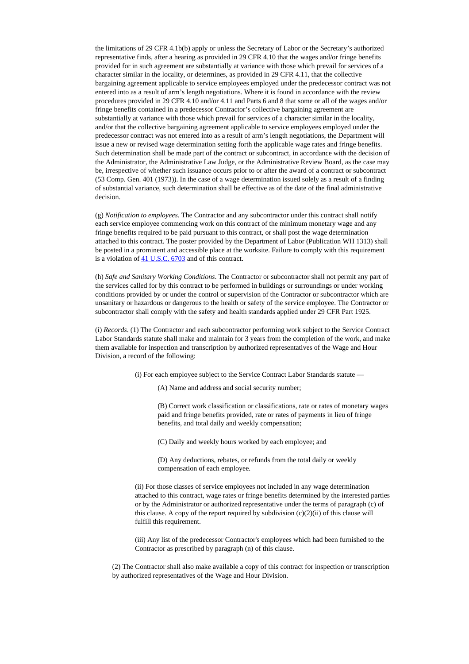the limitations of 29 CFR 4.1b(b) apply or unless the Secretary of Labor or the Secretary's authorized representative finds, after a hearing as provided in 29 CFR 4.10 that the wages and/or fringe benefits provided for in such agreement are substantially at variance with those which prevail for services of a character similar in the locality, or determines, as provided in 29 CFR 4.11, that the collective bargaining agreement applicable to service employees employed under the predecessor contract was not entered into as a result of arm's length negotiations. Where it is found in accordance with the review procedures provided in 29 CFR 4.10 and/or 4.11 and Parts 6 and 8 that some or all of the wages and/or fringe benefits contained in a predecessor Contractor's collective bargaining agreement are substantially at variance with those which prevail for services of a character similar in the locality, and/or that the collective bargaining agreement applicable to service employees employed under the predecessor contract was not entered into as a result of arm's length negotiations, the Department will issue a new or revised wage determination setting forth the applicable wage rates and fringe benefits. Such determination shall be made part of the contract or subcontract, in accordance with the decision of the Administrator, the Administrative Law Judge, or the Administrative Review Board, as the case may be, irrespective of whether such issuance occurs prior to or after the award of a contract or subcontract (53 Comp. Gen. 401 (1973)). In the case of a wage determination issued solely as a result of a finding of substantial variance, such determination shall be effective as of the date of the final administrative decision.

(g) *Notification to employees*. The Contractor and any subcontractor under this contract shall notify each service employee commencing work on this contract of the minimum monetary wage and any fringe benefits required to be paid pursuant to this contract, or shall post the wage determination attached to this contract. The poster provided by the Department of Labor (Publication WH 1313) shall be posted in a prominent and accessible place at the worksite. Failure to comply with this requirement is a violation of 41 [U.S.C.](http://uscode.house.gov/) 6703 and of this contract.

(h) *Safe and Sanitary Working Conditions*. The Contractor or subcontractor shall not permit any part of the services called for by this contract to be performed in buildings or surroundings or under working conditions provided by or under the control or supervision of the Contractor or subcontractor which are unsanitary or hazardous or dangerous to the health or safety of the service employee. The Contractor or subcontractor shall comply with the safety and health standards applied under 29 CFR Part 1925.

(i) *Records*. (1) The Contractor and each subcontractor performing work subject to the Service Contract Labor Standards statute shall make and maintain for 3 years from the completion of the work, and make them available for inspection and transcription by authorized representatives of the Wage and Hour Division, a record of the following:

(i) For each employee subject to the Service Contract Labor Standards statute —

(A) Name and address and social security number;

(B) Correct work classification or classifications, rate or rates of monetary wages paid and fringe benefits provided, rate or rates of payments in lieu of fringe benefits, and total daily and weekly compensation;

(C) Daily and weekly hours worked by each employee; and

(D) Any deductions, rebates, or refunds from the total daily or weekly compensation of each employee.

(ii) For those classes of service employees not included in any wage determination attached to this contract, wage rates or fringe benefits determined by the interested parties or by the Administrator or authorized representative under the terms of paragraph (c) of this clause. A copy of the report required by subdivision  $(c)(2)(ii)$  of this clause will fulfill this requirement.

(iii) Any list of the predecessor Contractor's employees which had been furnished to the Contractor as prescribed by paragraph (n) of this clause.

(2) The Contractor shall also make available a copy of this contract for inspection or transcription by authorized representatives of the Wage and Hour Division.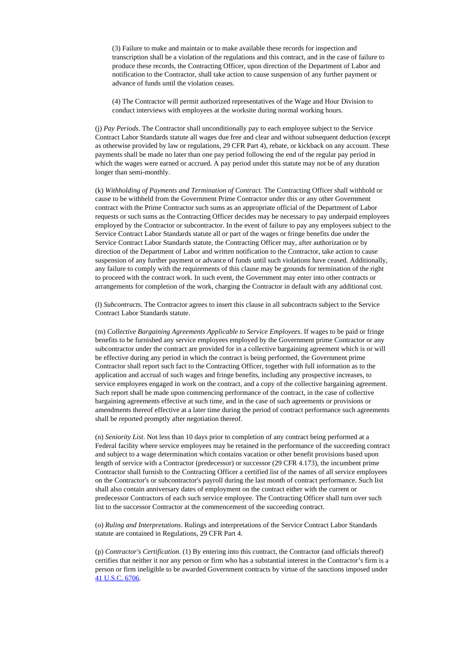(3) Failure to make and maintain or to make available these records for inspection and transcription shall be a violation of the regulations and this contract, and in the case of failure to produce these records, the Contracting Officer, upon direction of the Department of Labor and notification to the Contractor, shall take action to cause suspension of any further payment or advance of funds until the violation ceases.

(4) The Contractor will permit authorized representatives of the Wage and Hour Division to conduct interviews with employees at the worksite during normal working hours.

(j) *Pay Periods*. The Contractor shall unconditionally pay to each employee subject to the Service Contract Labor Standards statute all wages due free and clear and without subsequent deduction (except as otherwise provided by law or regulations, 29 CFR Part 4), rebate, or kickback on any account. These payments shall be made no later than one pay period following the end of the regular pay period in which the wages were earned or accrued. A pay period under this statute may not be of any duration longer than semi-monthly.

(k) *Withholding of Payments and Termination of Contract.* The Contracting Officer shall withhold or cause to be withheld from the Government Prime Contractor under this or any other Government contract with the Prime Contractor such sums as an appropriate official of the Department of Labor requests or such sums as the Contracting Officer decides may be necessary to pay underpaid employees employed by the Contractor or subcontractor. In the event of failure to pay any employees subject to the Service Contract Labor Standards statute all or part of the wages or fringe benefits due under the Service Contract Labor Standards statute, the Contracting Officer may, after authorization or by direction of the Department of Labor and written notification to the Contractor, take action to cause suspension of any further payment or advance of funds until such violations have ceased. Additionally, any failure to comply with the requirements of this clause may be grounds for termination of the right to proceed with the contract work. In such event, the Government may enter into other contracts or arrangements for completion of the work, charging the Contractor in default with any additional cost.

(l) *Subcontract*s. The Contractor agrees to insert this clause in all subcontracts subject to the Service Contract Labor Standards statute.

(m) *Collective Bargaining Agreements Applicable to Service Employees*. If wages to be paid or fringe benefits to be furnished any service employees employed by the Government prime Contractor or any subcontractor under the contract are provided for in a collective bargaining agreement which is or will be effective during any period in which the contract is being performed, the Government prime Contractor shall report such fact to the Contracting Officer, together with full information as to the application and accrual of such wages and fringe benefits, including any prospective increases, to service employees engaged in work on the contract, and a copy of the collective bargaining agreement. Such report shall be made upon commencing performance of the contract, in the case of collective bargaining agreements effective at such time, and in the case of such agreements or provisions or amendments thereof effective at a later time during the period of contract performance such agreements shall be reported promptly after negotiation thereof.

(n) *Seniority List*. Not less than 10 days prior to completion of any contract being performed at a Federal facility where service employees may be retained in the performance of the succeeding contract and subject to a wage determination which contains vacation or other benefit provisions based upon length of service with a Contractor (predecessor) or successor (29 CFR 4.173), the incumbent prime Contractor shall furnish to the Contracting Officer a certified list of the names of all service employees on the Contractor's or subcontractor's payroll during the last month of contract performance. Such list shall also contain anniversary dates of employment on the contract either with the current or predecessor Contractors of each such service employee. The Contracting Officer shall turn over such list to the successor Contractor at the commencement of the succeeding contract.

(o) *Ruling and Interpretations*. Rulings and interpretations of the Service Contract Labor Standards statute are contained in Regulations, 29 CFR Part 4.

(p) *Contractor's Certification*. (1) By entering into this contract, the Contractor (and officials thereof) certifies that neither it nor any person or firm who has a substantial interest in the Contractor's firm is a person or firm ineligible to be awarded Government contracts by virtue of the sanctions imposed under 41 [U.S.C.](http://uscode.house.gov/) 6706.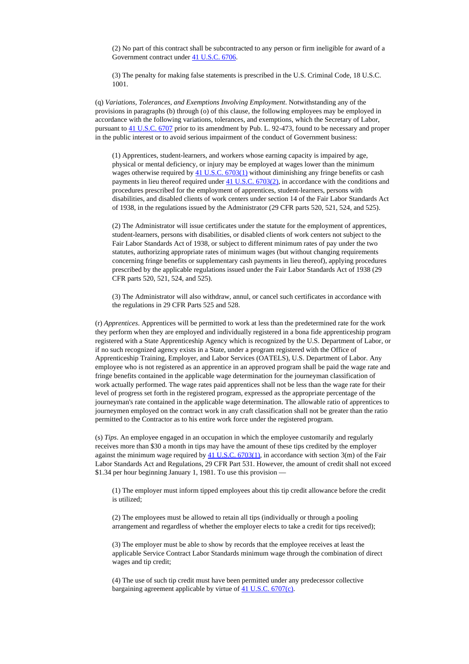(2) No part of this contract shall be subcontracted to any person or firm ineligible for award of a Government contract under 41 [U.S.C.](http://uscode.house.gov/) 6706.

(3) The penalty for making false statements is prescribed in the U.S. Criminal Code, 18 U.S.C. 1001.

(q) *Variations, Tolerances, and Exemptions Involving Employment*. Notwithstanding any of the provisions in paragraphs (b) through (o) of this clause, the following employees may be employed in accordance with the following variations, tolerances, and exemptions, which the Secretary of Labor, pursuant to 41 [U.S.C.](http://uscode.house.gov/) 6707 prior to its amendment by Pub. L. 92-473, found to be necessary and proper in the public interest or to avoid serious impairment of the conduct of Government business:

(1) Apprentices, student-learners, and workers whose earning capacity is impaired by age, physical or mental deficiency, or injury may be employed at wages lower than the minimum wages otherwise required by  $41$  U.S.C.  $6703(1)$  without diminishing any fringe benefits or cash payments in lieu thereof required under 41 U.S.C. [6703\(2\)](http://uscode.house.gov/), in accordance with the conditions and procedures prescribed for the employment of apprentices, student-learners, persons with disabilities, and disabled clients of work centers under section 14 of the Fair Labor Standards Act of 1938, in the regulations issued by the Administrator (29 CFR parts 520, 521, 524, and 525).

(2) The Administrator will issue certificates under the statute for the employment of apprentices, student-learners, persons with disabilities, or disabled clients of work centers not subject to the Fair Labor Standards Act of 1938, or subject to different minimum rates of pay under the two statutes, authorizing appropriate rates of minimum wages (but without changing requirements concerning fringe benefits or supplementary cash payments in lieu thereof), applying procedures prescribed by the applicable regulations issued under the Fair Labor Standards Act of 1938 (29 CFR parts 520, 521, 524, and 525).

(3) The Administrator will also withdraw, annul, or cancel such certificates in accordance with the regulations in 29 CFR Parts 525 and 528.

(r) *Apprentices*. Apprentices will be permitted to work at less than the predetermined rate for the work they perform when they are employed and individually registered in a bona fide apprenticeship program registered with a State Apprenticeship Agency which is recognized by the U.S. Department of Labor, or if no such recognized agency exists in a State, under a program registered with the Office of Apprenticeship Training, Employer, and Labor Services (OATELS), U.S. Department of Labor. Any employee who is not registered as an apprentice in an approved program shall be paid the wage rate and fringe benefits contained in the applicable wage determination for the journeyman classification of work actually performed. The wage rates paid apprentices shall not be less than the wage rate for their level of progress set forth in the registered program, expressed as the appropriate percentage of the journeyman's rate contained in the applicable wage determination. The allowable ratio of apprentices to journeymen employed on the contract work in any craft classification shall not be greater than the ratio permitted to the Contractor as to his entire work force under the registered program.

(s) *Tips*. An employee engaged in an occupation in which the employee customarily and regularly receives more than \$30 a month in tips may have the amount of these tips credited by the employer against the minimum wage required by  $41$  U.S.C.  $6703(1)$ , in accordance with section  $3(m)$  of the Fair Labor Standards Act and Regulations, 29 CFR Part 531. However, the amount of credit shall not exceed \$1.34 per hour beginning January 1, 1981. To use this provision —

(1) The employer must inform tipped employees about this tip credit allowance before the credit is utilized;

(2) The employees must be allowed to retain all tips (individually or through a pooling arrangement and regardless of whether the employer elects to take a credit for tips received);

(3) The employer must be able to show by records that the employee receives at least the applicable Service Contract Labor Standards minimum wage through the combination of direct wages and tip credit;

(4) The use of such tip credit must have been permitted under any predecessor collective bargaining agreement applicable by virtue of 41 U.S.C. [6707\(c\)](http://uscode.house.gov/).